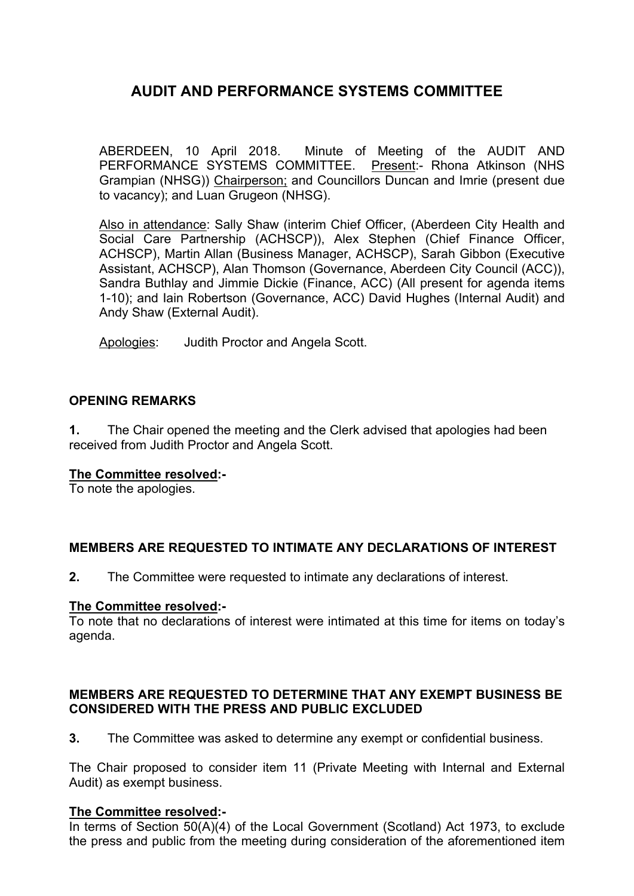ABERDEEN, 10 April 2018. Minute of Meeting of the AUDIT AND PERFORMANCE SYSTEMS COMMITTEE. Present:- Rhona Atkinson (NHS Grampian (NHSG)) Chairperson; and Councillors Duncan and Imrie (present due to vacancy); and Luan Grugeon (NHSG).

Also in attendance: Sally Shaw (interim Chief Officer, (Aberdeen City Health and Social Care Partnership (ACHSCP)), Alex Stephen (Chief Finance Officer, ACHSCP), Martin Allan (Business Manager, ACHSCP), Sarah Gibbon (Executive Assistant, ACHSCP), Alan Thomson (Governance, Aberdeen City Council (ACC)), Sandra Buthlay and Jimmie Dickie (Finance, ACC) (All present for agenda items 1-10); and Iain Robertson (Governance, ACC) David Hughes (Internal Audit) and Andy Shaw (External Audit).

Apologies: Judith Proctor and Angela Scott.

### **OPENING REMARKS**

**1.** The Chair opened the meeting and the Clerk advised that apologies had been received from Judith Proctor and Angela Scott.

### **The Committee resolved:-**

To note the apologies.

### **MEMBERS ARE REQUESTED TO INTIMATE ANY DECLARATIONS OF INTEREST**

**2.** The Committee were requested to intimate any declarations of interest.

#### **The Committee resolved:-**

To note that no declarations of interest were intimated at this time for items on today's agenda.

#### **MEMBERS ARE REQUESTED TO DETERMINE THAT ANY EXEMPT BUSINESS BE CONSIDERED WITH THE PRESS AND PUBLIC EXCLUDED**

**3.** The Committee was asked to determine any exempt or confidential business.

The Chair proposed to consider item 11 (Private Meeting with Internal and External Audit) as exempt business.

### **The Committee resolved:-**

In terms of Section 50(A)(4) of the Local Government (Scotland) Act 1973, to exclude the press and public from the meeting during consideration of the aforementioned item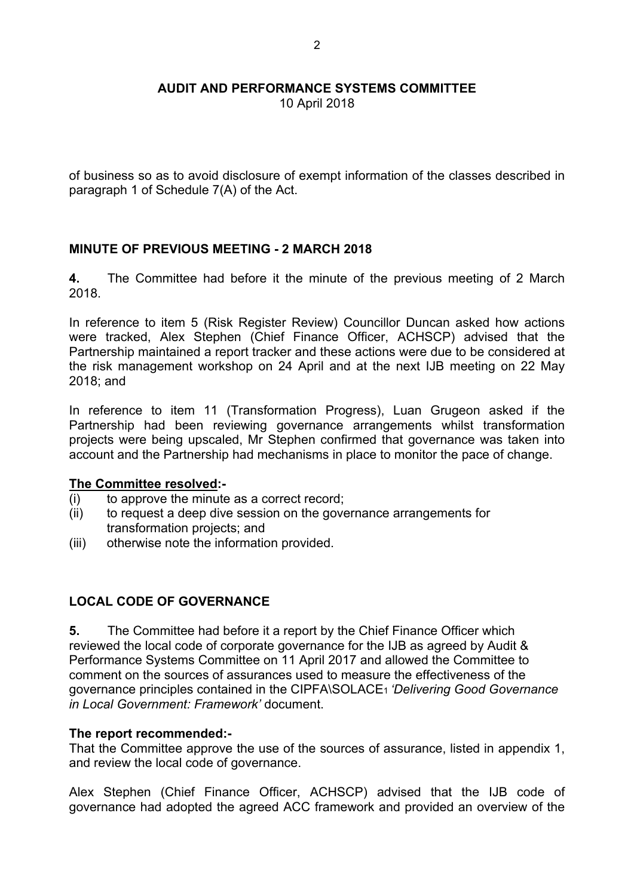10 April 2018

of business so as to avoid disclosure of exempt information of the classes described in paragraph 1 of Schedule 7(A) of the Act.

### **MINUTE OF PREVIOUS MEETING - 2 MARCH 2018**

**4.** The Committee had before it the minute of the previous meeting of 2 March 2018.

In reference to item 5 (Risk Register Review) Councillor Duncan asked how actions were tracked, Alex Stephen (Chief Finance Officer, ACHSCP) advised that the Partnership maintained a report tracker and these actions were due to be considered at the risk management workshop on 24 April and at the next IJB meeting on 22 May 2018; and

In reference to item 11 (Transformation Progress), Luan Grugeon asked if the Partnership had been reviewing governance arrangements whilst transformation projects were being upscaled, Mr Stephen confirmed that governance was taken into account and the Partnership had mechanisms in place to monitor the pace of change.

### **The Committee resolved:-**

- (i) to approve the minute as a correct record;
- (ii) to request a deep dive session on the governance arrangements for transformation projects; and
- (iii) otherwise note the information provided.

### **LOCAL CODE OF GOVERNANCE**

**5.** The Committee had before it a report by the Chief Finance Officer which reviewed the local code of corporate governance for the IJB as agreed by Audit & Performance Systems Committee on 11 April 2017 and allowed the Committee to comment on the sources of assurances used to measure the effectiveness of the governance principles contained in the CIPFA\SOLACE<sup>1</sup> *'Delivering Good Governance in Local Government: Framework'* document.

#### **The report recommended:-**

That the Committee approve the use of the sources of assurance, listed in appendix 1, and review the local code of governance.

Alex Stephen (Chief Finance Officer, ACHSCP) advised that the IJB code of governance had adopted the agreed ACC framework and provided an overview of the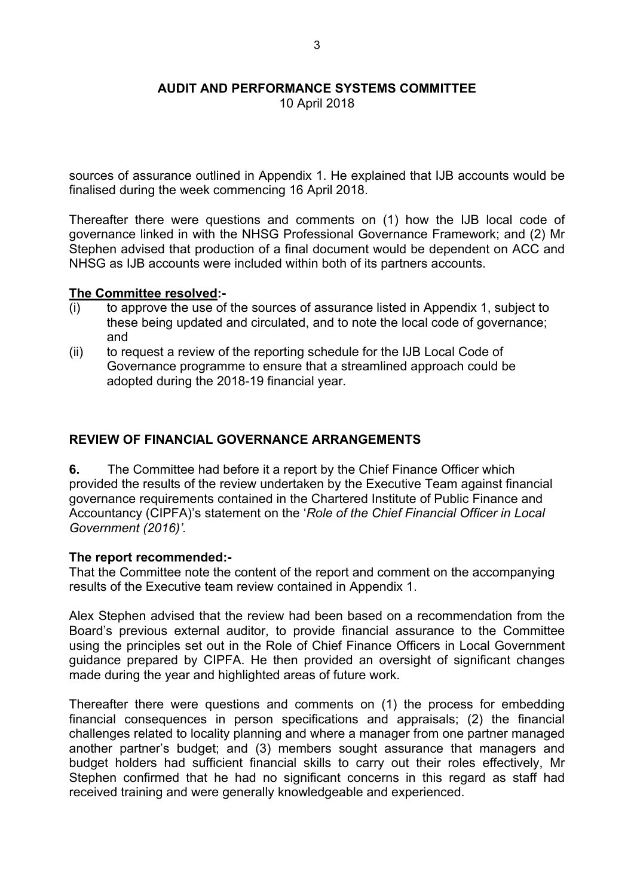10 April 2018

sources of assurance outlined in Appendix 1. He explained that IJB accounts would be finalised during the week commencing 16 April 2018.

Thereafter there were questions and comments on (1) how the IJB local code of governance linked in with the NHSG Professional Governance Framework; and (2) Mr Stephen advised that production of a final document would be dependent on ACC and NHSG as IJB accounts were included within both of its partners accounts.

### **The Committee resolved:-**

- (i) to approve the use of the sources of assurance listed in Appendix 1, subject to these being updated and circulated, and to note the local code of governance; and
- (ii) to request a review of the reporting schedule for the IJB Local Code of Governance programme to ensure that a streamlined approach could be adopted during the 2018-19 financial year.

### **REVIEW OF FINANCIAL GOVERNANCE ARRANGEMENTS**

**6.** The Committee had before it a report by the Chief Finance Officer which provided the results of the review undertaken by the Executive Team against financial governance requirements contained in the Chartered Institute of Public Finance and Accountancy (CIPFA)'s statement on the '*Role of the Chief Financial Officer in Local Government (2016)'.*

#### **The report recommended:-**

That the Committee note the content of the report and comment on the accompanying results of the Executive team review contained in Appendix 1.

Alex Stephen advised that the review had been based on a recommendation from the Board's previous external auditor, to provide financial assurance to the Committee using the principles set out in the Role of Chief Finance Officers in Local Government guidance prepared by CIPFA. He then provided an oversight of significant changes made during the year and highlighted areas of future work.

Thereafter there were questions and comments on (1) the process for embedding financial consequences in person specifications and appraisals; (2) the financial challenges related to locality planning and where a manager from one partner managed another partner's budget; and (3) members sought assurance that managers and budget holders had sufficient financial skills to carry out their roles effectively, Mr Stephen confirmed that he had no significant concerns in this regard as staff had received training and were generally knowledgeable and experienced.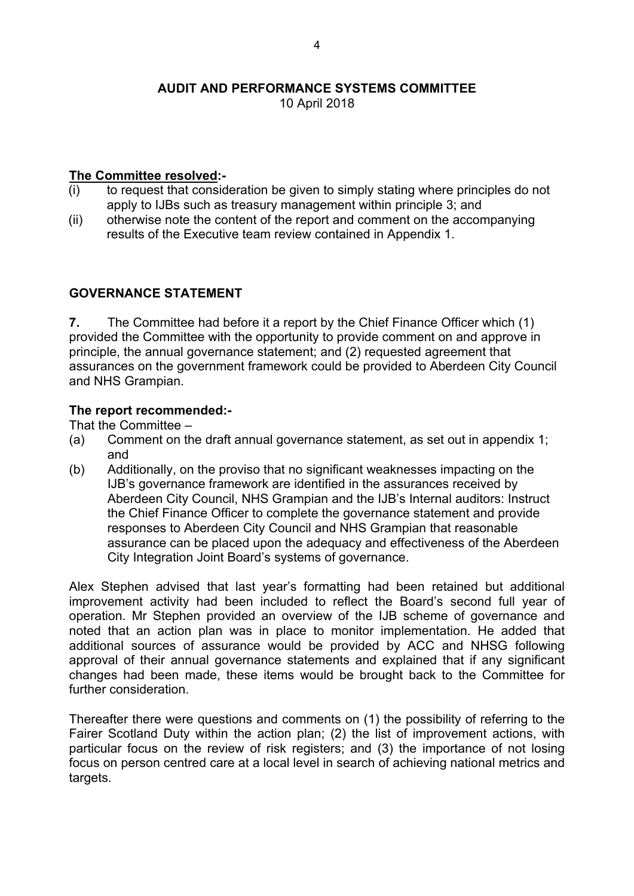10 April 2018

## **The Committee resolved:-**

- $(i)$  to request that consideration be given to simply stating where principles do not apply to IJBs such as treasury management within principle 3; and
- (ii) otherwise note the content of the report and comment on the accompanying results of the Executive team review contained in Appendix 1.

### **GOVERNANCE STATEMENT**

**7.** The Committee had before it a report by the Chief Finance Officer which (1) provided the Committee with the opportunity to provide comment on and approve in principle, the annual governance statement; and (2) requested agreement that assurances on the government framework could be provided to Aberdeen City Council and NHS Grampian.

### **The report recommended:-**

That the Committee –

- (a) Comment on the draft annual governance statement, as set out in appendix 1; and
- (b) Additionally, on the proviso that no significant weaknesses impacting on the IJB's governance framework are identified in the assurances received by Aberdeen City Council, NHS Grampian and the IJB's Internal auditors: Instruct the Chief Finance Officer to complete the governance statement and provide responses to Aberdeen City Council and NHS Grampian that reasonable assurance can be placed upon the adequacy and effectiveness of the Aberdeen City Integration Joint Board's systems of governance.

Alex Stephen advised that last year's formatting had been retained but additional improvement activity had been included to reflect the Board's second full year of operation. Mr Stephen provided an overview of the IJB scheme of governance and noted that an action plan was in place to monitor implementation. He added that additional sources of assurance would be provided by ACC and NHSG following approval of their annual governance statements and explained that if any significant changes had been made, these items would be brought back to the Committee for further consideration

Thereafter there were questions and comments on (1) the possibility of referring to the Fairer Scotland Duty within the action plan; (2) the list of improvement actions, with particular focus on the review of risk registers; and (3) the importance of not losing focus on person centred care at a local level in search of achieving national metrics and targets.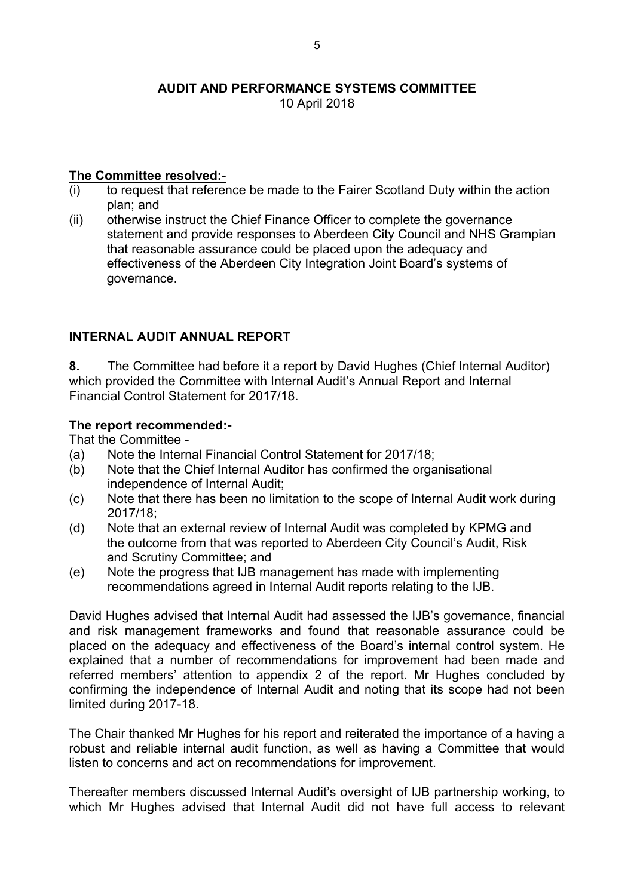10 April 2018

## **The Committee resolved:-**

- (i) to request that reference be made to the Fairer Scotland Duty within the action plan; and
- (ii) otherwise instruct the Chief Finance Officer to complete the governance statement and provide responses to Aberdeen City Council and NHS Grampian that reasonable assurance could be placed upon the adequacy and effectiveness of the Aberdeen City Integration Joint Board's systems of governance.

## **INTERNAL AUDIT ANNUAL REPORT**

**8.** The Committee had before it a report by David Hughes (Chief Internal Auditor) which provided the Committee with Internal Audit's Annual Report and Internal Financial Control Statement for 2017/18.

## **The report recommended:-**

That the Committee -

- (a) Note the Internal Financial Control Statement for 2017/18;
- (b) Note that the Chief Internal Auditor has confirmed the organisational independence of Internal Audit;
- (c) Note that there has been no limitation to the scope of Internal Audit work during 2017/18;
- (d) Note that an external review of Internal Audit was completed by KPMG and the outcome from that was reported to Aberdeen City Council's Audit, Risk and Scrutiny Committee; and
- (e) Note the progress that IJB management has made with implementing recommendations agreed in Internal Audit reports relating to the IJB.

David Hughes advised that Internal Audit had assessed the IJB's governance, financial and risk management frameworks and found that reasonable assurance could be placed on the adequacy and effectiveness of the Board's internal control system. He explained that a number of recommendations for improvement had been made and referred members' attention to appendix 2 of the report. Mr Hughes concluded by confirming the independence of Internal Audit and noting that its scope had not been limited during 2017-18.

The Chair thanked Mr Hughes for his report and reiterated the importance of a having a robust and reliable internal audit function, as well as having a Committee that would listen to concerns and act on recommendations for improvement.

Thereafter members discussed Internal Audit's oversight of IJB partnership working, to which Mr Hughes advised that Internal Audit did not have full access to relevant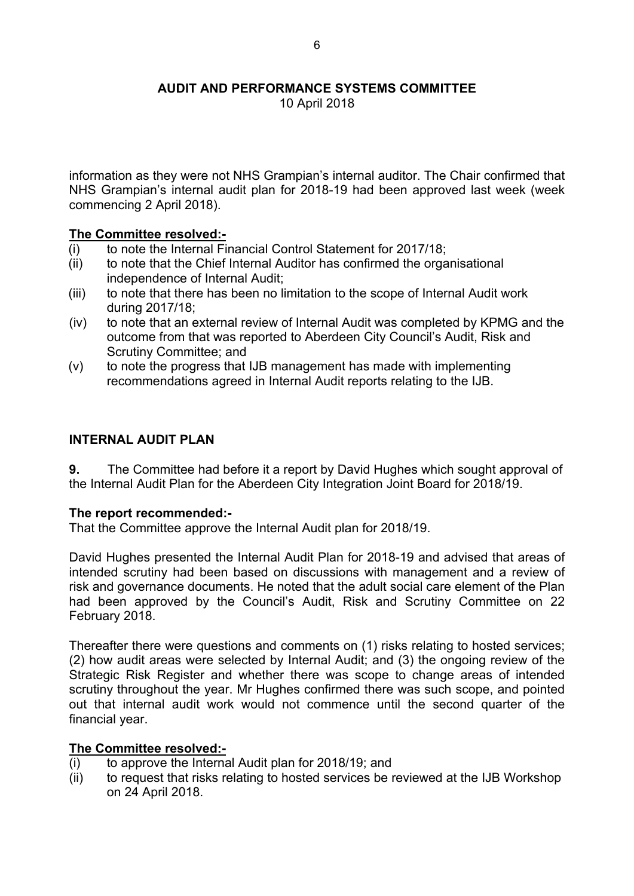10 April 2018

information as they were not NHS Grampian's internal auditor. The Chair confirmed that NHS Grampian's internal audit plan for 2018-19 had been approved last week (week commencing 2 April 2018).

### **The Committee resolved:-**

- (i) to note the Internal Financial Control Statement for 2017/18;
- (ii) to note that the Chief Internal Auditor has confirmed the organisational independence of Internal Audit;
- (iii) to note that there has been no limitation to the scope of Internal Audit work during 2017/18;
- (iv) to note that an external review of Internal Audit was completed by KPMG and the outcome from that was reported to Aberdeen City Council's Audit, Risk and Scrutiny Committee; and
- (v) to note the progress that IJB management has made with implementing recommendations agreed in Internal Audit reports relating to the IJB.

### **INTERNAL AUDIT PLAN**

**9.** The Committee had before it a report by David Hughes which sought approval of the Internal Audit Plan for the Aberdeen City Integration Joint Board for 2018/19.

### **The report recommended:-**

That the Committee approve the Internal Audit plan for 2018/19.

David Hughes presented the Internal Audit Plan for 2018-19 and advised that areas of intended scrutiny had been based on discussions with management and a review of risk and governance documents. He noted that the adult social care element of the Plan had been approved by the Council's Audit, Risk and Scrutiny Committee on 22 February 2018.

Thereafter there were questions and comments on (1) risks relating to hosted services; (2) how audit areas were selected by Internal Audit; and (3) the ongoing review of the Strategic Risk Register and whether there was scope to change areas of intended scrutiny throughout the year. Mr Hughes confirmed there was such scope, and pointed out that internal audit work would not commence until the second quarter of the financial year.

### **The Committee resolved:-**

- (i) to approve the Internal Audit plan for 2018/19; and
- (ii) to request that risks relating to hosted services be reviewed at the IJB Workshop on 24 April 2018.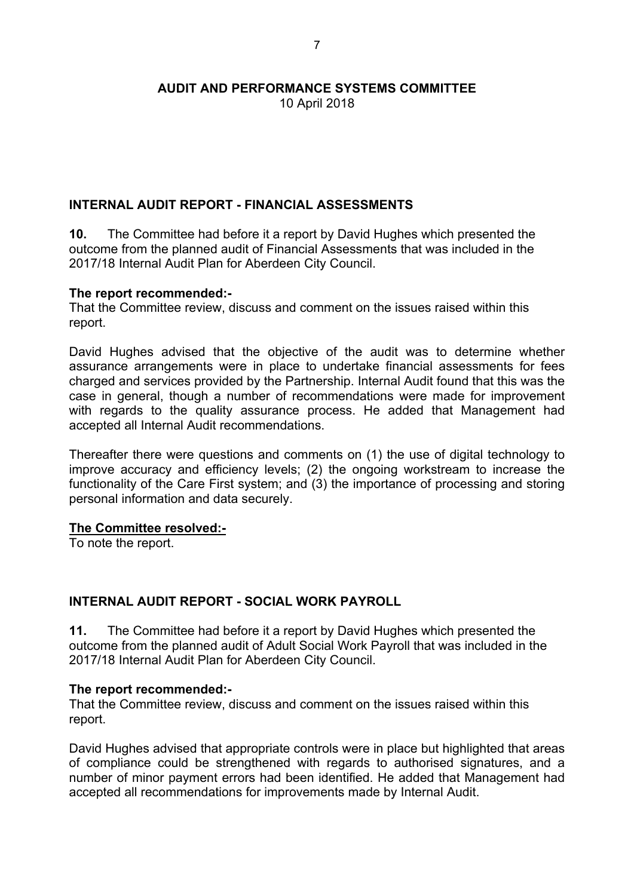10 April 2018

### **INTERNAL AUDIT REPORT - FINANCIAL ASSESSMENTS**

**10.** The Committee had before it a report by David Hughes which presented the outcome from the planned audit of Financial Assessments that was included in the 2017/18 Internal Audit Plan for Aberdeen City Council.

### **The report recommended:-**

That the Committee review, discuss and comment on the issues raised within this report.

David Hughes advised that the objective of the audit was to determine whether assurance arrangements were in place to undertake financial assessments for fees charged and services provided by the Partnership. Internal Audit found that this was the case in general, though a number of recommendations were made for improvement with regards to the quality assurance process. He added that Management had accepted all Internal Audit recommendations.

Thereafter there were questions and comments on (1) the use of digital technology to improve accuracy and efficiency levels; (2) the ongoing workstream to increase the functionality of the Care First system; and (3) the importance of processing and storing personal information and data securely.

#### **The Committee resolved:-**

To note the report.

### **INTERNAL AUDIT REPORT - SOCIAL WORK PAYROLL**

**11.** The Committee had before it a report by David Hughes which presented the outcome from the planned audit of Adult Social Work Payroll that was included in the 2017/18 Internal Audit Plan for Aberdeen City Council.

#### **The report recommended:-**

That the Committee review, discuss and comment on the issues raised within this report.

David Hughes advised that appropriate controls were in place but highlighted that areas of compliance could be strengthened with regards to authorised signatures, and a number of minor payment errors had been identified. He added that Management had accepted all recommendations for improvements made by Internal Audit.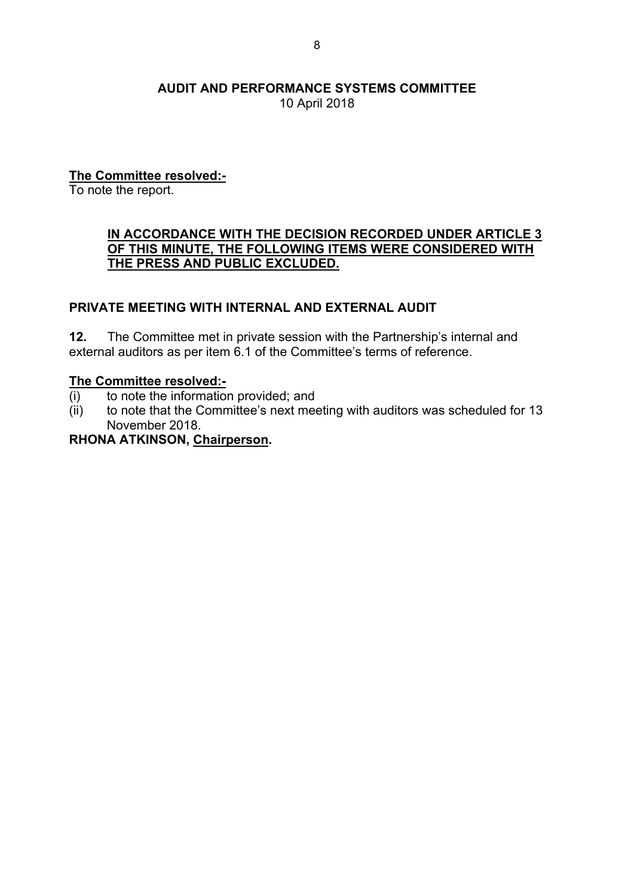10 April 2018

## **The Committee resolved:-**

To note the report.

### **IN ACCORDANCE WITH THE DECISION RECORDED UNDER ARTICLE 3 OF THIS MINUTE, THE FOLLOWING ITEMS WERE CONSIDERED WITH THE PRESS AND PUBLIC EXCLUDED.**

### **PRIVATE MEETING WITH INTERNAL AND EXTERNAL AUDIT**

**12.** The Committee met in private session with the Partnership's internal and external auditors as per item 6.1 of the Committee's terms of reference.

### **The Committee resolved:-**

- (i) to note the information provided; and
- (ii) to note that the Committee's next meeting with auditors was scheduled for 13 November 2018.

### **RHONA ATKINSON, Chairperson.**